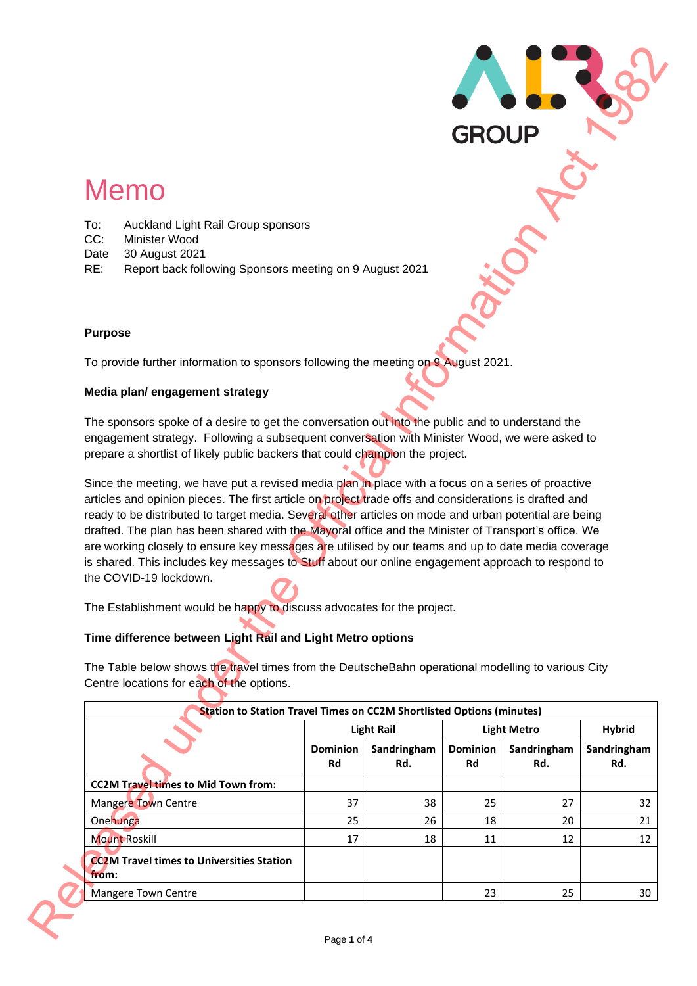# Memo

- To: Auckland Light Rail Group sponsors
- CC: Minister Wood
- Date 30 August 2021
- RE: Report back following Sponsors meeting on 9 August 2021

### **Purpose**

#### **Media plan/ engagement strategy**

### **Time difference between Light Rail and Light Metro options**

|                                                                                                                                                                                                                 |                 |                   | <b>GROUP</b>    |                                   |                               |
|-----------------------------------------------------------------------------------------------------------------------------------------------------------------------------------------------------------------|-----------------|-------------------|-----------------|-----------------------------------|-------------------------------|
| <b>Memo</b>                                                                                                                                                                                                     |                 |                   |                 |                                   |                               |
|                                                                                                                                                                                                                 |                 |                   |                 |                                   |                               |
| Auckland Light Rail Group sponsors<br>To:                                                                                                                                                                       |                 |                   |                 |                                   |                               |
| CC:<br>Minister Wood<br>30 August 2021<br>Date                                                                                                                                                                  |                 |                   |                 |                                   |                               |
| RE:<br>Report back following Sponsors meeting on 9 August 2021                                                                                                                                                  |                 |                   |                 |                                   |                               |
|                                                                                                                                                                                                                 |                 |                   |                 |                                   |                               |
| <b>Purpose</b>                                                                                                                                                                                                  |                 |                   |                 |                                   |                               |
|                                                                                                                                                                                                                 |                 |                   |                 |                                   |                               |
| To provide further information to sponsors following the meeting on 9 August 2021.                                                                                                                              |                 |                   |                 |                                   |                               |
| Media plan/ engagement strategy                                                                                                                                                                                 |                 |                   |                 |                                   |                               |
|                                                                                                                                                                                                                 |                 |                   |                 |                                   |                               |
| The sponsors spoke of a desire to get the conversation out into the public and to understand the<br>engagement strategy. Following a subsequent conversation with Minister Wood, we were asked to               |                 |                   |                 |                                   |                               |
| prepare a shortlist of likely public backers that could champion the project.                                                                                                                                   |                 |                   |                 |                                   |                               |
|                                                                                                                                                                                                                 |                 |                   |                 |                                   |                               |
|                                                                                                                                                                                                                 |                 |                   |                 |                                   |                               |
| Since the meeting, we have put a revised media plan in place with a focus on a series of proactive                                                                                                              |                 |                   |                 |                                   |                               |
| articles and opinion pieces. The first article on project trade offs and considerations is drafted and<br>ready to be distributed to target media. Several other articles on mode and urban potential are being |                 |                   |                 |                                   |                               |
| drafted. The plan has been shared with the Mayoral office and the Minister of Transport's office. We                                                                                                            |                 |                   |                 |                                   |                               |
| are working closely to ensure key messages are utilised by our teams and up to date media coverage                                                                                                              |                 |                   |                 |                                   |                               |
| is shared. This includes key messages to Stuff about our online engagement approach to respond to                                                                                                               |                 |                   |                 |                                   |                               |
|                                                                                                                                                                                                                 |                 |                   |                 |                                   |                               |
| The Establishment would be happy to discuss advocates for the project.                                                                                                                                          |                 |                   |                 |                                   |                               |
| Time difference between Light Rail and Light Metro options                                                                                                                                                      |                 |                   |                 |                                   |                               |
|                                                                                                                                                                                                                 |                 |                   |                 |                                   |                               |
|                                                                                                                                                                                                                 |                 |                   |                 |                                   |                               |
|                                                                                                                                                                                                                 |                 |                   |                 |                                   |                               |
| <b>Station to Station Travel Times on CC2M Shortlisted Options (minutes)</b>                                                                                                                                    |                 | <b>Light Rail</b> |                 |                                   | <b>Hybrid</b>                 |
|                                                                                                                                                                                                                 | <b>Dominion</b> | Sandringham       | <b>Dominion</b> | <b>Light Metro</b><br>Sandringham |                               |
|                                                                                                                                                                                                                 | Rd              | Rd.               | <b>Rd</b>       | Rd.                               | Rd.                           |
| <b>CC2M Travel times to Mid Town from:</b>                                                                                                                                                                      |                 |                   |                 |                                   |                               |
| Mangere Town Centre                                                                                                                                                                                             | 37              | 38                | 25              | 27                                |                               |
| The Table below shows the travel times from the DeutscheBahn operational modelling to various City<br>Onehunga                                                                                                  | 25              | 26                | 18              | 20                                |                               |
| the COVID-19 lockdown.<br>Centre locations for each of the options.<br><b>Mount Roskill</b>                                                                                                                     | 17              | 18                | 11              | 12                                |                               |
| <b>CC2M Travel times to Universities Station</b><br>from:                                                                                                                                                       |                 |                   |                 |                                   | Sandringham<br>32<br>21<br>12 |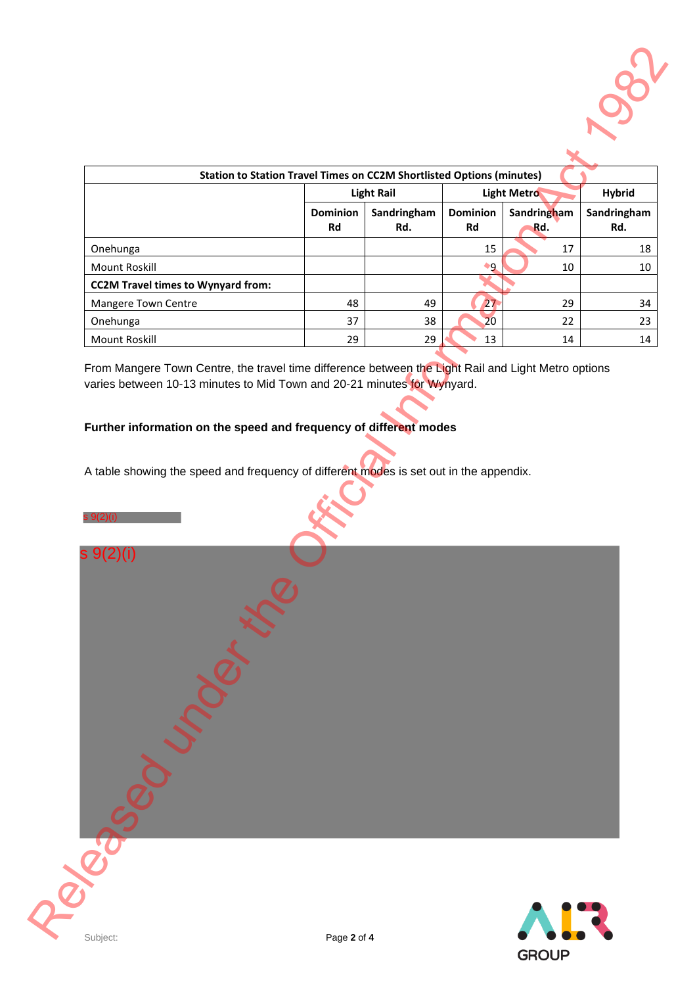

| <b>Station to Station Travel Times on CC2M Shortlisted Options (minutes)</b> |                       |                    |                              |                    |                    |  |  |
|------------------------------------------------------------------------------|-----------------------|--------------------|------------------------------|--------------------|--------------------|--|--|
|                                                                              |                       | <b>Light Rail</b>  | <b>Light Metro</b>           | <b>Hybrid</b>      |                    |  |  |
|                                                                              | <b>Dominion</b><br>Rd | Sandringham<br>Rd. | <b>Dominion</b><br><b>Rd</b> | Sandringham<br>Rd. | Sandringham<br>Rd. |  |  |
| Onehunga                                                                     |                       |                    | 15                           | 17                 | 18                 |  |  |
| Mount Roskill                                                                |                       |                    | ٠q                           | 10                 | 10                 |  |  |
| <b>CC2M Travel times to Wynyard from:</b>                                    |                       |                    |                              |                    |                    |  |  |
| <b>Mangere Town Centre</b>                                                   | 48                    | 49                 | 27                           | 29                 | 34                 |  |  |
| Onehunga                                                                     | 37                    | 38                 | 20                           | 22                 | 23                 |  |  |
| Mount Roskill                                                                | 29                    | 29                 | 13                           | 14                 | 14                 |  |  |

From Mangere Town Centre, the travel time difference between the Light Rail and Light Metro options varies between 10-13 minutes to Mid Town and 20-21 minutes for Wynyard.

# **Further information on the speed and frequency of different modes**

A table showing the speed and frequency of different modes is set out in the appendix.

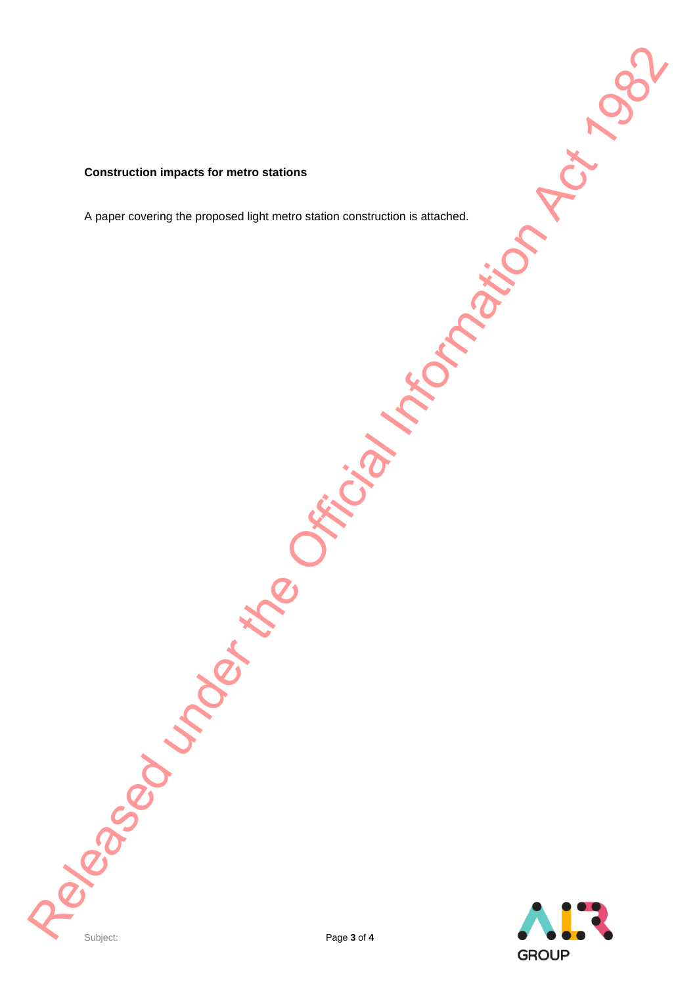#### **Construction impacts for metro stations**

A paper covering the proposed light metro station construction is attached. Religions of the Manuscript of the Original Information Act 1982